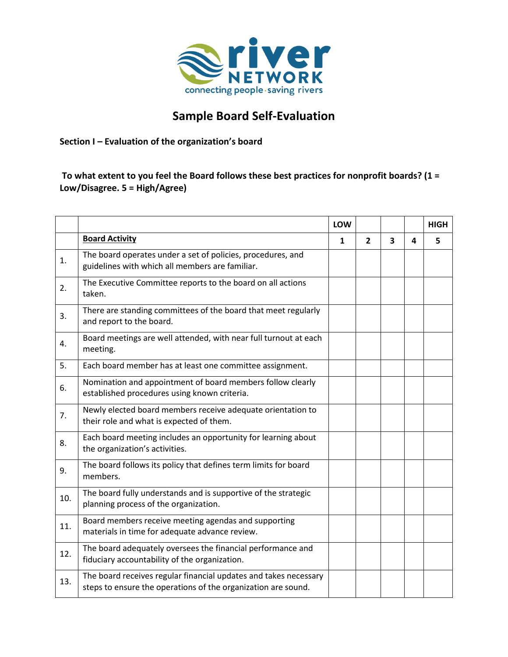

## **Sample Board Self-Evaluation**

**Section I – Evaluation of the organization's board** 

**To what extent to you feel the Board follows these best practices for nonprofit boards? (1 = Low/Disagree. 5 = High/Agree)**

|     |                                                                                                                                   | LOW          |                |                         |   | <b>HIGH</b> |
|-----|-----------------------------------------------------------------------------------------------------------------------------------|--------------|----------------|-------------------------|---|-------------|
|     | <b>Board Activity</b>                                                                                                             | $\mathbf{1}$ | $\overline{2}$ | $\overline{\mathbf{3}}$ | 4 | 5           |
| 1.  | The board operates under a set of policies, procedures, and<br>guidelines with which all members are familiar.                    |              |                |                         |   |             |
| 2.  | The Executive Committee reports to the board on all actions<br>taken.                                                             |              |                |                         |   |             |
| 3.  | There are standing committees of the board that meet regularly<br>and report to the board.                                        |              |                |                         |   |             |
| 4.  | Board meetings are well attended, with near full turnout at each<br>meeting.                                                      |              |                |                         |   |             |
| 5.  | Each board member has at least one committee assignment.                                                                          |              |                |                         |   |             |
| 6.  | Nomination and appointment of board members follow clearly<br>established procedures using known criteria.                        |              |                |                         |   |             |
| 7.  | Newly elected board members receive adequate orientation to<br>their role and what is expected of them.                           |              |                |                         |   |             |
| 8.  | Each board meeting includes an opportunity for learning about<br>the organization's activities.                                   |              |                |                         |   |             |
| 9.  | The board follows its policy that defines term limits for board<br>members.                                                       |              |                |                         |   |             |
| 10. | The board fully understands and is supportive of the strategic<br>planning process of the organization.                           |              |                |                         |   |             |
| 11. | Board members receive meeting agendas and supporting<br>materials in time for adequate advance review.                            |              |                |                         |   |             |
| 12. | The board adequately oversees the financial performance and<br>fiduciary accountability of the organization.                      |              |                |                         |   |             |
| 13. | The board receives regular financial updates and takes necessary<br>steps to ensure the operations of the organization are sound. |              |                |                         |   |             |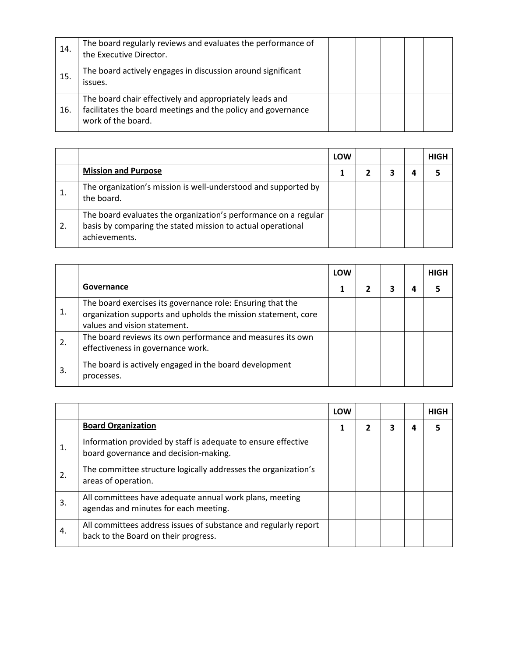| 14. | The board regularly reviews and evaluates the performance of<br>the Executive Director.                                                       |  |  |  |
|-----|-----------------------------------------------------------------------------------------------------------------------------------------------|--|--|--|
| 15. | The board actively engages in discussion around significant<br>issues.                                                                        |  |  |  |
| 16. | The board chair effectively and appropriately leads and<br>facilitates the board meetings and the policy and governance<br>work of the board. |  |  |  |

|    |                                                                                                                                                 | LOW |  | <b>HIGH</b> |
|----|-------------------------------------------------------------------------------------------------------------------------------------------------|-----|--|-------------|
|    | <b>Mission and Purpose</b>                                                                                                                      |     |  |             |
|    | The organization's mission is well-understood and supported by<br>the board.                                                                    |     |  |             |
| 2. | The board evaluates the organization's performance on a regular<br>basis by comparing the stated mission to actual operational<br>achievements. |     |  |             |

|    |                                                                                                                                                             | LOW |  |   | <b>HIGH</b> |
|----|-------------------------------------------------------------------------------------------------------------------------------------------------------------|-----|--|---|-------------|
|    | Governance                                                                                                                                                  |     |  | 4 |             |
| 1. | The board exercises its governance role: Ensuring that the<br>organization supports and upholds the mission statement, core<br>values and vision statement. |     |  |   |             |
| 2. | The board reviews its own performance and measures its own<br>effectiveness in governance work.                                                             |     |  |   |             |
| 3. | The board is actively engaged in the board development<br>processes.                                                                                        |     |  |   |             |

|    |                                                                                                         | LOW |  | <b>HIGH</b> |
|----|---------------------------------------------------------------------------------------------------------|-----|--|-------------|
|    | <b>Board Organization</b>                                                                               |     |  |             |
|    | Information provided by staff is adequate to ensure effective<br>board governance and decision-making.  |     |  |             |
| 2. | The committee structure logically addresses the organization's<br>areas of operation.                   |     |  |             |
| 3. | All committees have adequate annual work plans, meeting<br>agendas and minutes for each meeting.        |     |  |             |
| 4. | All committees address issues of substance and regularly report<br>back to the Board on their progress. |     |  |             |